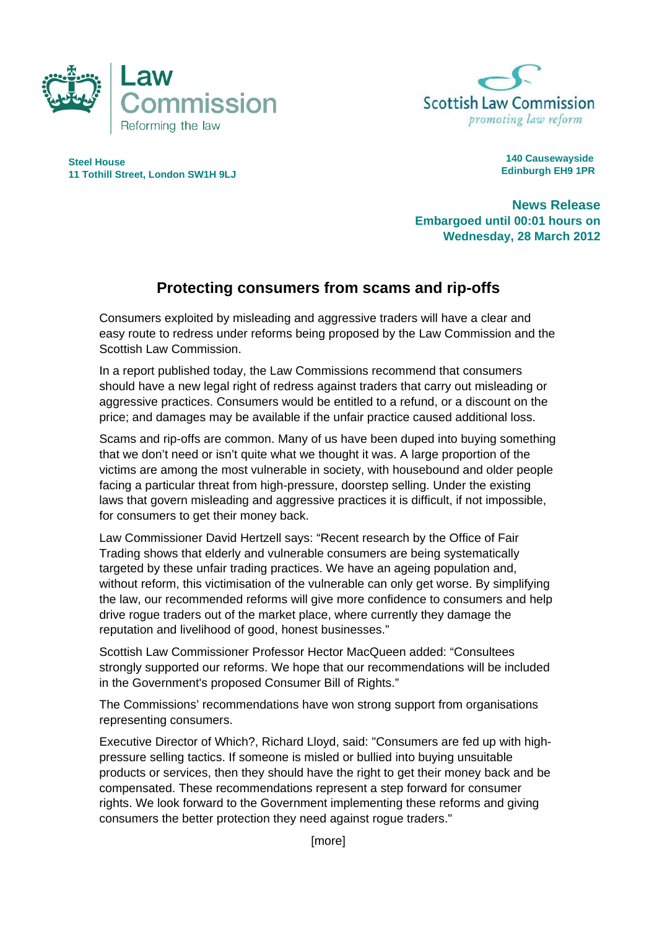



**Steel House 11 Tothill Street, London SW1H 9LJ** 

 **140 Causewayside Edinburgh EH9 1PR**

**News Release Embargoed until 00:01 hours on Wednesday, 28 March 2012** 

## **Protecting consumers from scams and rip-offs**

Consumers exploited by misleading and aggressive traders will have a clear and easy route to redress under reforms being proposed by the Law Commission and the Scottish Law Commission.

In a report published today, the Law Commissions recommend that consumers should have a new legal right of redress against traders that carry out misleading or aggressive practices. Consumers would be entitled to a refund, or a discount on the price; and damages may be available if the unfair practice caused additional loss.

Scams and rip-offs are common. Many of us have been duped into buying something that we don't need or isn't quite what we thought it was. A large proportion of the victims are among the most vulnerable in society, with housebound and older people facing a particular threat from high-pressure, doorstep selling. Under the existing laws that govern misleading and aggressive practices it is difficult, if not impossible, for consumers to get their money back.

Law Commissioner David Hertzell says: "Recent research by the Office of Fair Trading shows that elderly and vulnerable consumers are being systematically targeted by these unfair trading practices. We have an ageing population and, without reform, this victimisation of the vulnerable can only get worse. By simplifying the law, our recommended reforms will give more confidence to consumers and help drive rogue traders out of the market place, where currently they damage the reputation and livelihood of good, honest businesses."

Scottish Law Commissioner Professor Hector MacQueen added: "Consultees strongly supported our reforms. We hope that our recommendations will be included in the Government's proposed Consumer Bill of Rights."

The Commissions' recommendations have won strong support from organisations representing consumers.

Executive Director of Which?, Richard Lloyd, said: "Consumers are fed up with highpressure selling tactics. If someone is misled or bullied into buying unsuitable products or services, then they should have the right to get their money back and be compensated. These recommendations represent a step forward for consumer rights. We look forward to the Government implementing these reforms and giving consumers the better protection they need against rogue traders."

[more]